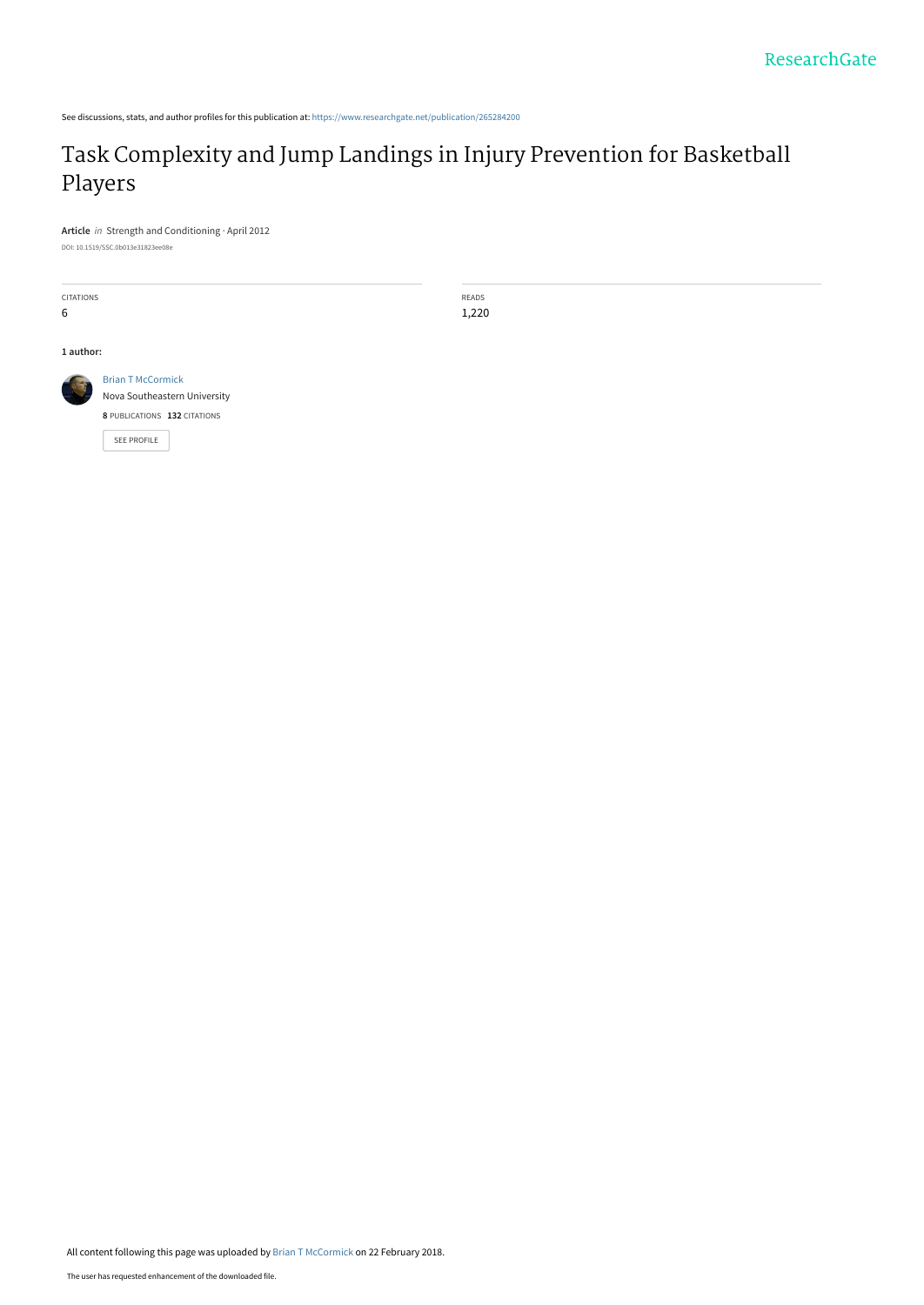See discussions, stats, and author profiles for this publication at: [https://www.researchgate.net/publication/265284200](https://www.researchgate.net/publication/265284200_Task_Complexity_and_Jump_Landings_in_Injury_Prevention_for_Basketball_Players?enrichId=rgreq-6453f74aec1e9241133797c3ad1760aa-XXX&enrichSource=Y292ZXJQYWdlOzI2NTI4NDIwMDtBUzo1OTY4NDk1NTU2NzMwODlAMTUxOTMxMTQzMTgwOA%3D%3D&el=1_x_2&_esc=publicationCoverPdf)

# [Task Complexity and Jump Landings in Injury Prevention for Basketball](https://www.researchgate.net/publication/265284200_Task_Complexity_and_Jump_Landings_in_Injury_Prevention_for_Basketball_Players?enrichId=rgreq-6453f74aec1e9241133797c3ad1760aa-XXX&enrichSource=Y292ZXJQYWdlOzI2NTI4NDIwMDtBUzo1OTY4NDk1NTU2NzMwODlAMTUxOTMxMTQzMTgwOA%3D%3D&el=1_x_3&_esc=publicationCoverPdf) Players

**Article** in Strength and Conditioning · April 2012 DOI: 10.1519/SSC.0b013e31823ee08e

CITATIONS 6

**1 author:**



[Brian T McCormick](https://www.researchgate.net/profile/Brian-Mccormick-4?enrichId=rgreq-6453f74aec1e9241133797c3ad1760aa-XXX&enrichSource=Y292ZXJQYWdlOzI2NTI4NDIwMDtBUzo1OTY4NDk1NTU2NzMwODlAMTUxOTMxMTQzMTgwOA%3D%3D&el=1_x_5&_esc=publicationCoverPdf) [Nova Southeastern University](https://www.researchgate.net/institution/Nova_Southeastern_University?enrichId=rgreq-6453f74aec1e9241133797c3ad1760aa-XXX&enrichSource=Y292ZXJQYWdlOzI2NTI4NDIwMDtBUzo1OTY4NDk1NTU2NzMwODlAMTUxOTMxMTQzMTgwOA%3D%3D&el=1_x_6&_esc=publicationCoverPdf) **8** PUBLICATIONS **132** CITATIONS

[SEE PROFILE](https://www.researchgate.net/profile/Brian-Mccormick-4?enrichId=rgreq-6453f74aec1e9241133797c3ad1760aa-XXX&enrichSource=Y292ZXJQYWdlOzI2NTI4NDIwMDtBUzo1OTY4NDk1NTU2NzMwODlAMTUxOTMxMTQzMTgwOA%3D%3D&el=1_x_7&_esc=publicationCoverPdf)

All content following this page was uploaded by [Brian T McCormick](https://www.researchgate.net/profile/Brian-Mccormick-4?enrichId=rgreq-6453f74aec1e9241133797c3ad1760aa-XXX&enrichSource=Y292ZXJQYWdlOzI2NTI4NDIwMDtBUzo1OTY4NDk1NTU2NzMwODlAMTUxOTMxMTQzMTgwOA%3D%3D&el=1_x_10&_esc=publicationCoverPdf) on 22 February 2018.

READS 1,220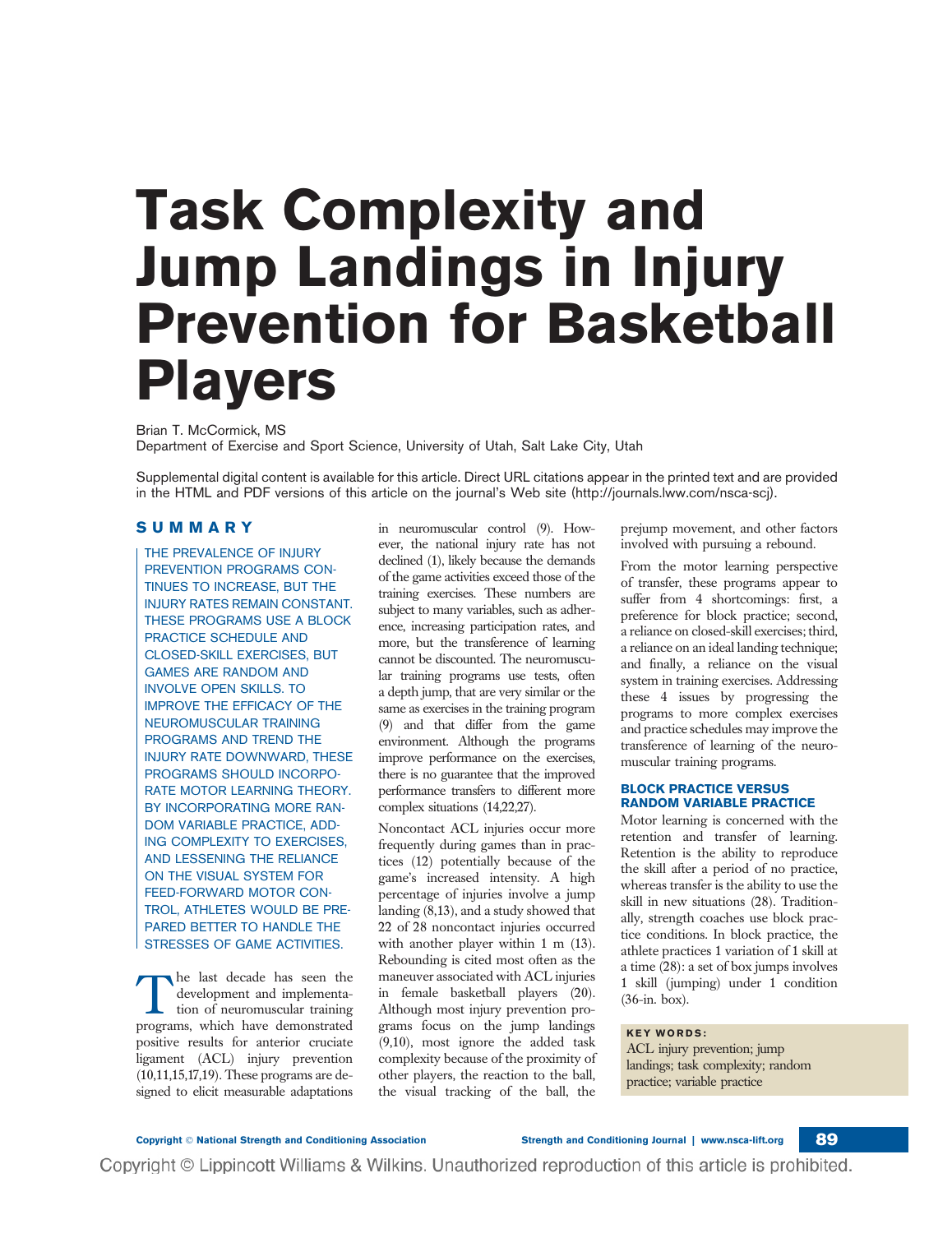# Task Complexity and Jump Landings in Injury Prevention for Basketball Players

Brian T. McCormick, MS Department of Exercise and Sport Science, University of Utah, Salt Lake City, Utah

Supplemental digital content is available for this article. Direct URL citations appear in the printed text and are provided in the HTML and PDF versions of this article on the journal's Web site (http://journals.lww.com/nsca-scj).

# SUMMARY

THE PREVALENCE OF INJURY PREVENTION PROGRAMS CON-TINUES TO INCREASE, BUT THE INJURY RATES REMAIN CONSTANT. THESE PROGRAMS USE A BLOCK PRACTICE SCHEDULE AND CLOSED-SKILL EXERCISES, BUT GAMES ARE RANDOM AND INVOLVE OPEN SKILLS. TO IMPROVE THE EFFICACY OF THE NEUROMUSCULAR TRAINING PROGRAMS AND TREND THE INJURY RATE DOWNWARD, THESE PROGRAMS SHOULD INCORPO-RATE MOTOR LEARNING THEORY. BY INCORPORATING MORE RAN-DOM VARIABLE PRACTICE, ADD-ING COMPLEXITY TO EXERCISES, AND LESSENING THE RELIANCE ON THE VISUAL SYSTEM FOR FEED-FORWARD MOTOR CON-TROL, ATHLETES WOULD BE PRE-PARED BETTER TO HANDLE THE STRESSES OF GAME ACTIVITIES.

the last decade has seen the development and implementation of neuromuscular training programs, which have demonstrated positive results for anterior cruciate ligament (ACL) injury prevention (10,11,15,17,19). These programs are designed to elicit measurable adaptations in neuromuscular control (9). However, the national injury rate has not declined (1), likely because the demands of the game activities exceed those of the training exercises. These numbers are subject to many variables, such as adherence, increasing participation rates, and more, but the transference of learning cannot be discounted. The neuromuscular training programs use tests, often a depth jump, that are very similar or the same as exercises in the training program (9) and that differ from the game environment. Although the programs improve performance on the exercises, there is no guarantee that the improved performance transfers to different more complex situations (14,22,27).

Noncontact ACL injuries occur more frequently during games than in practices (12) potentially because of the game's increased intensity. A high percentage of injuries involve a jump landing (8,13), and a study showed that 22 of 28 noncontact injuries occurred with another player within 1 m (13). Rebounding is cited most often as the maneuver associated with ACL injuries in female basketball players (20). Although most injury prevention programs focus on the jump landings (9,10), most ignore the added task complexity because of the proximity of other players, the reaction to the ball, the visual tracking of the ball, the

Copyright © Lippincott Williams & Wilkins. Unauthorized reproduction of this article is prohibited.

prejump movement, and other factors involved with pursuing a rebound.

From the motor learning perspective of transfer, these programs appear to suffer from 4 shortcomings: first, a preference for block practice; second, a reliance on closed-skill exercises; third, a reliance on an ideal landing technique; and finally, a reliance on the visual system in training exercises. Addressing these 4 issues by progressing the programs to more complex exercises and practice schedules may improve the transference of learning of the neuromuscular training programs.

# BLOCK PRACTICE VERSUS RANDOM VARIABLE PRACTICE

Motor learning is concerned with the retention and transfer of learning. Retention is the ability to reproduce the skill after a period of no practice, whereas transfer is the ability to use the skill in new situations (28). Traditionally, strength coaches use block practice conditions. In block practice, the athlete practices 1 variation of 1 skill at a time (28): a set of box jumps involves 1 skill (jumping) under 1 condition (36-in. box).

### KEY WORDS:

ACL injury prevention; jump landings; task complexity; random practice; variable practice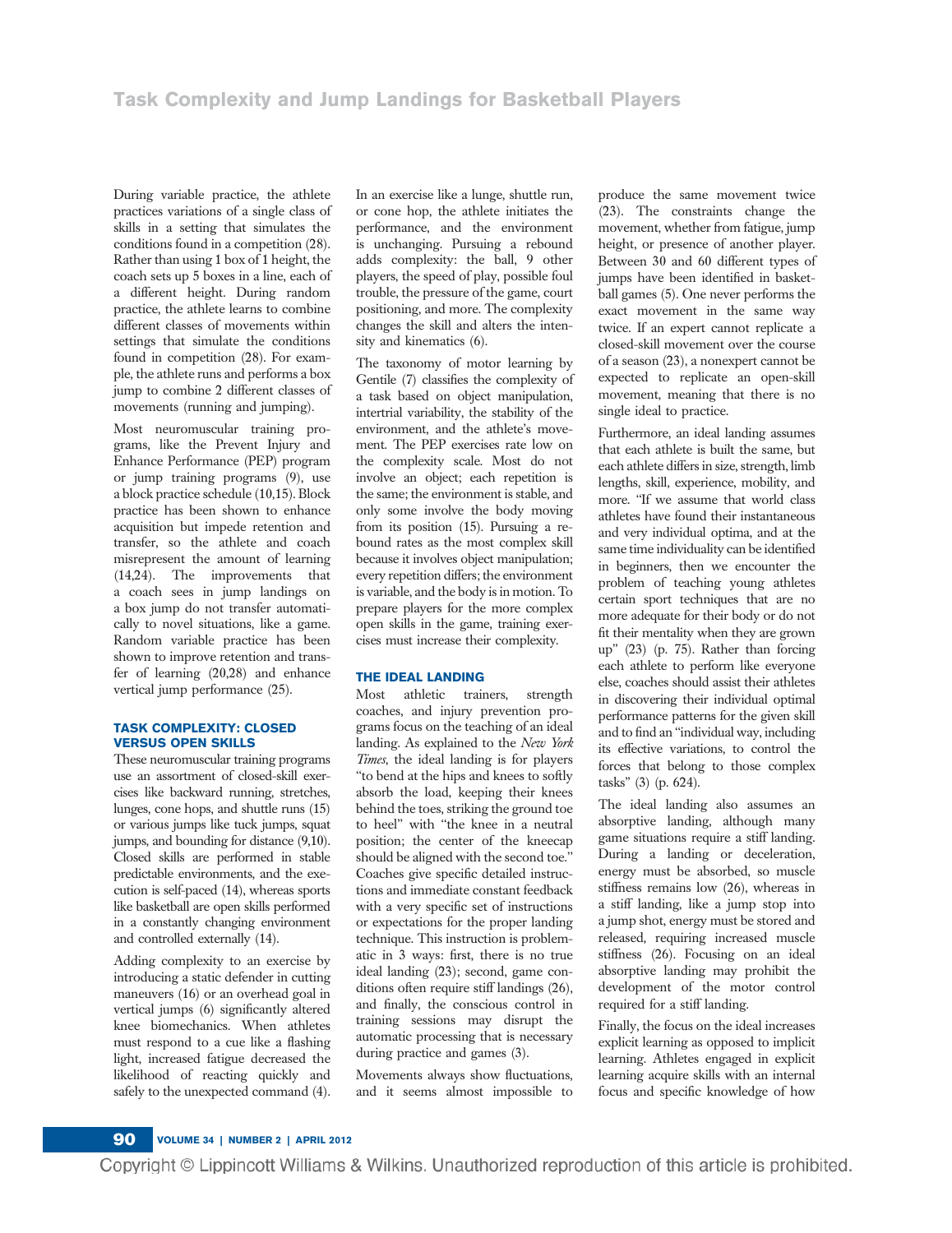During variable practice, the athlete practices variations of a single class of skills in a setting that simulates the conditions found in a competition (28). Rather than using 1 box of 1 height, the coach sets up 5 boxes in a line, each of a different height. During random practice, the athlete learns to combine different classes of movements within settings that simulate the conditions found in competition (28). For example, the athlete runs and performs a box jump to combine 2 different classes of movements (running and jumping).

Most neuromuscular training programs, like the Prevent Injury and Enhance Performance (PEP) program or jump training programs (9), use a block practice schedule (10,15). Block practice has been shown to enhance acquisition but impede retention and transfer, so the athlete and coach misrepresent the amount of learning (14,24). The improvements that a coach sees in jump landings on a box jump do not transfer automatically to novel situations, like a game. Random variable practice has been shown to improve retention and transfer of learning (20,28) and enhance vertical jump performance (25).

### TASK COMPLEXITY: CLOSED VERSUS OPEN SKILLS

These neuromuscular training programs use an assortment of closed-skill exercises like backward running, stretches, lunges, cone hops, and shuttle runs (15) or various jumps like tuck jumps, squat jumps, and bounding for distance (9,10). Closed skills are performed in stable predictable environments, and the execution is self-paced (14), whereas sports like basketball are open skills performed in a constantly changing environment and controlled externally (14).

Adding complexity to an exercise by introducing a static defender in cutting maneuvers (16) or an overhead goal in vertical jumps (6) significantly altered knee biomechanics. When athletes must respond to a cue like a flashing light, increased fatigue decreased the likelihood of reacting quickly and safely to the unexpected command (4).

In an exercise like a lunge, shuttle run, or cone hop, the athlete initiates the performance, and the environment is unchanging. Pursuing a rebound adds complexity: the ball, 9 other players, the speed of play, possible foul trouble, the pressure of the game, court positioning, and more. The complexity changes the skill and alters the intensity and kinematics (6).

The taxonomy of motor learning by Gentile (7) classifies the complexity of a task based on object manipulation, intertrial variability, the stability of the environment, and the athlete's movement. The PEP exercises rate low on the complexity scale. Most do not involve an object; each repetition is the same; the environment is stable, and only some involve the body moving from its position (15). Pursuing a rebound rates as the most complex skill because it involves object manipulation; every repetition differs; the environment is variable, and the body is in motion. To prepare players for the more complex open skills in the game, training exercises must increase their complexity.

# THE IDEAL LANDING

Most athletic trainers, strength coaches, and injury prevention programs focus on the teaching of an ideal landing. As explained to the New York Times, the ideal landing is for players ''to bend at the hips and knees to softly absorb the load, keeping their knees behind the toes, striking the ground toe to heel'' with ''the knee in a neutral position; the center of the kneecap should be aligned with the second toe.'' Coaches give specific detailed instructions and immediate constant feedback with a very specific set of instructions or expectations for the proper landing technique. This instruction is problematic in 3 ways: first, there is no true ideal landing (23); second, game conditions often require stiff landings (26), and finally, the conscious control in training sessions may disrupt the automatic processing that is necessary during practice and games (3).

Movements always show fluctuations, and it seems almost impossible to produce the same movement twice (23). The constraints change the movement, whether from fatigue, jump height, or presence of another player. Between 30 and 60 different types of jumps have been identified in basketball games (5). One never performs the exact movement in the same way twice. If an expert cannot replicate a closed-skill movement over the course of a season (23), a nonexpert cannot be expected to replicate an open-skill movement, meaning that there is no single ideal to practice.

Furthermore, an ideal landing assumes that each athlete is built the same, but each athlete differs in size, strength, limb lengths, skill, experience, mobility, and more. ''If we assume that world class athletes have found their instantaneous and very individual optima, and at the same time individuality can be identified in beginners, then we encounter the problem of teaching young athletes certain sport techniques that are no more adequate for their body or do not fit their mentality when they are grown up'' (23) (p. 75). Rather than forcing each athlete to perform like everyone else, coaches should assist their athletes in discovering their individual optimal performance patterns for the given skill and to find an ''individual way, including its effective variations, to control the forces that belong to those complex tasks'' (3) (p. 624).

The ideal landing also assumes an absorptive landing, although many game situations require a stiff landing. During a landing or deceleration, energy must be absorbed, so muscle stiffness remains low (26), whereas in a stiff landing, like a jump stop into a jump shot, energy must be stored and released, requiring increased muscle stiffness (26). Focusing on an ideal absorptive landing may prohibit the development of the motor control required for a stiff landing.

Finally, the focus on the ideal increases explicit learning as opposed to implicit learning. Athletes engaged in explicit learning acquire skills with an internal focus and specific knowledge of how

Copyright © Lippincott Williams & Wilkins. Unauthorized reproduction of this article is prohibited.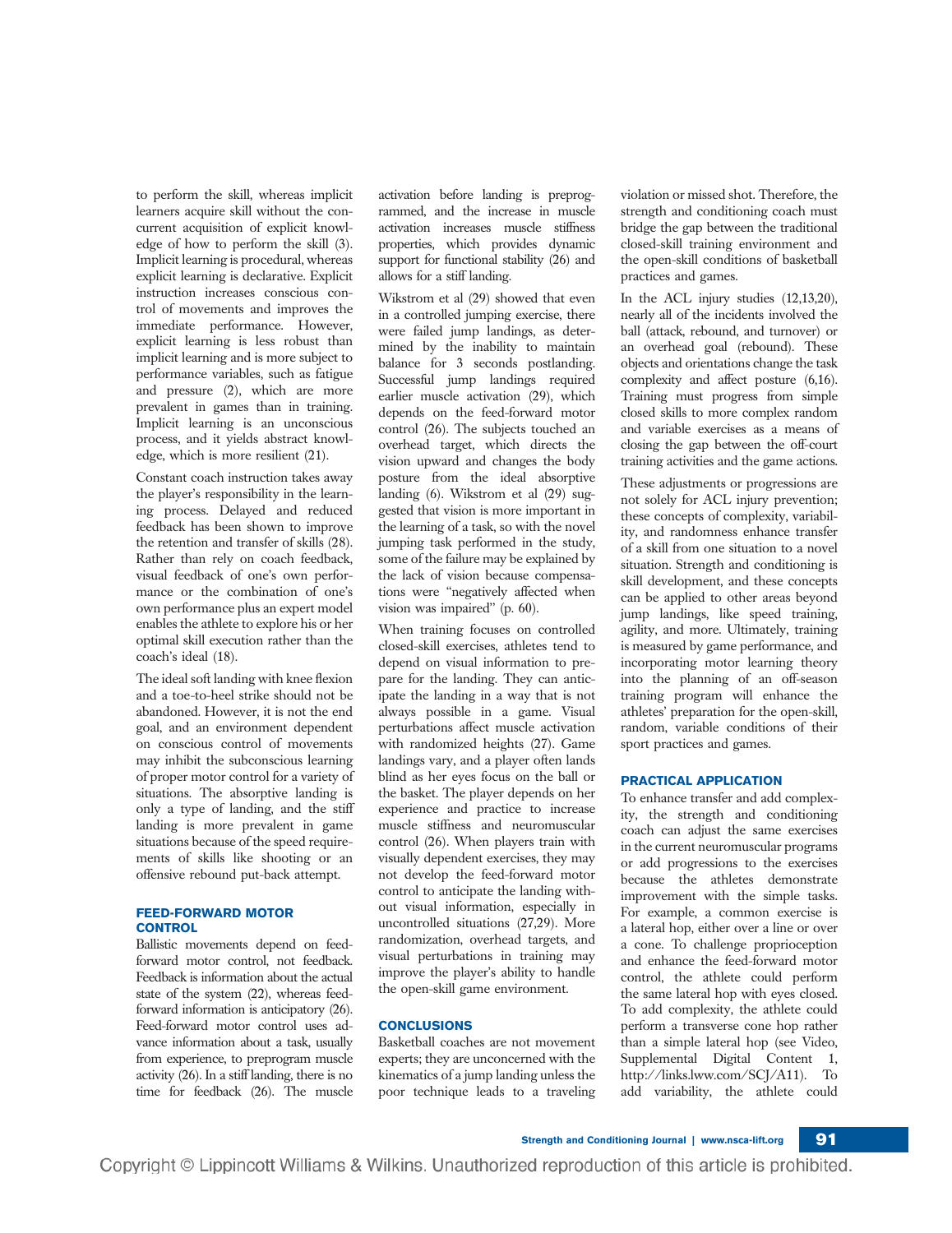to perform the skill, whereas implicit learners acquire skill without the concurrent acquisition of explicit knowledge of how to perform the skill (3). Implicit learning is procedural, whereas explicit learning is declarative. Explicit instruction increases conscious control of movements and improves the immediate performance. However, explicit learning is less robust than implicit learning and is more subject to performance variables, such as fatigue and pressure (2), which are more prevalent in games than in training. Implicit learning is an unconscious process, and it yields abstract knowledge, which is more resilient (21).

Constant coach instruction takes away the player's responsibility in the learning process. Delayed and reduced feedback has been shown to improve the retention and transfer of skills (28). Rather than rely on coach feedback, visual feedback of one's own performance or the combination of one's own performance plus an expert model enables the athlete to explore his or her optimal skill execution rather than the coach's ideal (18).

The ideal soft landing with knee flexion and a toe-to-heel strike should not be abandoned. However, it is not the end goal, and an environment dependent on conscious control of movements may inhibit the subconscious learning of proper motor control for a variety of situations. The absorptive landing is only a type of landing, and the stiff landing is more prevalent in game situations because of the speed requirements of skills like shooting or an offensive rebound put-back attempt.

#### FEED-FORWARD MOTOR **CONTROL**

Ballistic movements depend on feedforward motor control, not feedback. Feedback is information about the actual state of the system (22), whereas feedforward information is anticipatory (26). Feed-forward motor control uses advance information about a task, usually from experience, to preprogram muscle activity (26). In a stiff landing, there is no time for feedback (26). The muscle

activation before landing is preprogrammed, and the increase in muscle activation increases muscle stiffness properties, which provides dynamic support for functional stability (26) and allows for a stiff landing.

Wikstrom et al (29) showed that even in a controlled jumping exercise, there were failed jump landings, as determined by the inability to maintain balance for 3 seconds postlanding. Successful jump landings required earlier muscle activation (29), which depends on the feed-forward motor control (26). The subjects touched an overhead target, which directs the vision upward and changes the body posture from the ideal absorptive landing (6). Wikstrom et al (29) suggested that vision is more important in the learning of a task, so with the novel jumping task performed in the study, some of the failure may be explained by the lack of vision because compensations were ''negatively affected when vision was impaired'' (p. 60).

When training focuses on controlled closed-skill exercises, athletes tend to depend on visual information to prepare for the landing. They can anticipate the landing in a way that is not always possible in a game. Visual perturbations affect muscle activation with randomized heights (27). Game landings vary, and a player often lands blind as her eyes focus on the ball or the basket. The player depends on her experience and practice to increase muscle stiffness and neuromuscular control (26). When players train with visually dependent exercises, they may not develop the feed-forward motor control to anticipate the landing without visual information, especially in uncontrolled situations (27,29). More randomization, overhead targets, and visual perturbations in training may improve the player's ability to handle the open-skill game environment.

# **CONCLUSIONS**

Basketball coaches are not movement experts; they are unconcerned with the kinematics of a jump landing unless the poor technique leads to a traveling

violation or missed shot. Therefore, the strength and conditioning coach must bridge the gap between the traditional closed-skill training environment and the open-skill conditions of basketball practices and games.

In the ACL injury studies (12,13,20), nearly all of the incidents involved the ball (attack, rebound, and turnover) or an overhead goal (rebound). These objects and orientations change the task complexity and affect posture (6,16). Training must progress from simple closed skills to more complex random and variable exercises as a means of closing the gap between the off-court training activities and the game actions.

These adjustments or progressions are not solely for ACL injury prevention; these concepts of complexity, variability, and randomness enhance transfer of a skill from one situation to a novel situation. Strength and conditioning is skill development, and these concepts can be applied to other areas beyond jump landings, like speed training, agility, and more. Ultimately, training is measured by game performance, and incorporating motor learning theory into the planning of an off-season training program will enhance the athletes' preparation for the open-skill, random, variable conditions of their sport practices and games.

# PRACTICAL APPLICATION

To enhance transfer and add complexity, the strength and conditioning coach can adjust the same exercises in the current neuromuscular programs or add progressions to the exercises because the athletes demonstrate improvement with the simple tasks. For example, a common exercise is a lateral hop, either over a line or over a cone. To challenge proprioception and enhance the feed-forward motor control, the athlete could perform the same lateral hop with eyes closed. To add complexity, the athlete could perform a transverse cone hop rather than a simple lateral hop (see Video, Supplemental Digital Content 1, http://links.lww.com/SCJ/A11). To add variability, the athlete could